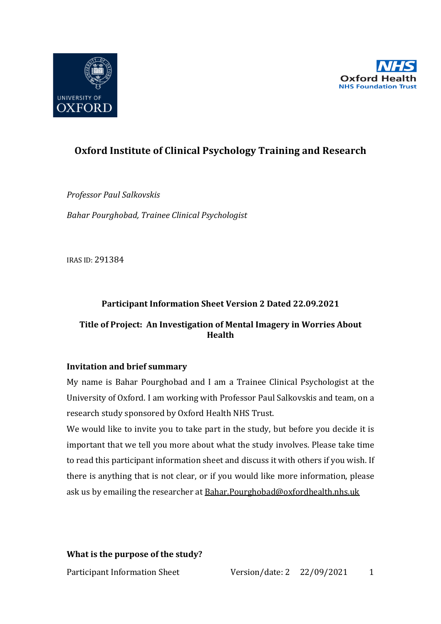



# **Oxford Institute of Clinical Psychology Training and Research**

*Professor Paul Salkovskis*  **Bahar Pourghobad, Trainee Clinical Psychologist** 

IRAS ID: 291384

# **Participant Information Sheet Version 2 Dated 22.09.2021**

# **Title of Project: An Investigation of Mental Imagery in Worries About Health**

# **Invitation and brief summary**

My name is Bahar Pourghobad and I am a Trainee Clinical Psychologist at the University of Oxford. I am working with Professor Paul Salkovskis and team, on a research study sponsored by Oxford Health NHS Trust.

We would like to invite you to take part in the study, but before you decide it is important that we tell you more about what the study involves. Please take time to read this participant information sheet and discuss it with others if you wish. If there is anything that is not clear, or if you would like more information, please ask us by emailing the researcher at **Bahar.Pourghobad@oxfordhealth.nhs.uk** 

# **What is the purpose of the study?**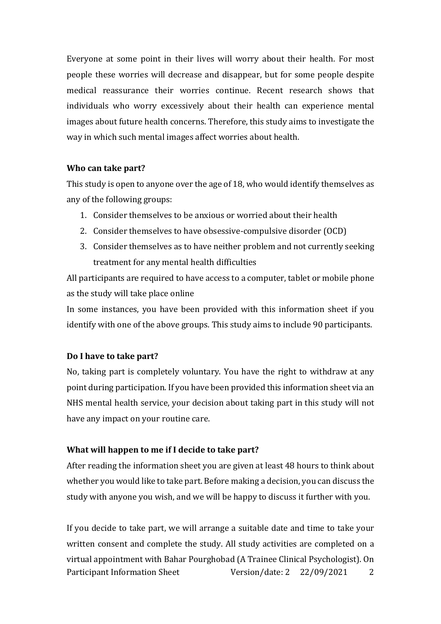Everyone at some point in their lives will worry about their health. For most people these worries will decrease and disappear, but for some people despite medical reassurance their worries continue. Recent research shows that individuals who worry excessively about their health can experience mental images about future health concerns. Therefore, this study aims to investigate the way in which such mental images affect worries about health.

# **Who can take part?**

This study is open to anyone over the age of 18, who would identify themselves as any of the following groups:

- 1. Consider themselves to be anxious or worried about their health
- 2. Consider themselves to have obsessive-compulsive disorder (OCD)
- 3. Consider themselves as to have neither problem and not currently seeking treatment for any mental health difficulties

All participants are required to have access to a computer, tablet or mobile phone as the study will take place online

In some instances, you have been provided with this information sheet if you identify with one of the above groups. This study aims to include 90 participants.

#### Do I have to take part?

No, taking part is completely voluntary. You have the right to withdraw at any point during participation. If you have been provided this information sheet via an NHS mental health service, your decision about taking part in this study will not have any impact on your routine care.

#### **What will happen to me if I decide to take part?**

After reading the information sheet you are given at least 48 hours to think about whether you would like to take part. Before making a decision, you can discuss the study with anyone you wish, and we will be happy to discuss it further with you.

Participant Information Sheet Version/date: 2 22/09/2021 2 If you decide to take part, we will arrange a suitable date and time to take your written consent and complete the study. All study activities are completed on a virtual appointment with Bahar Pourghobad (A Trainee Clinical Psychologist). On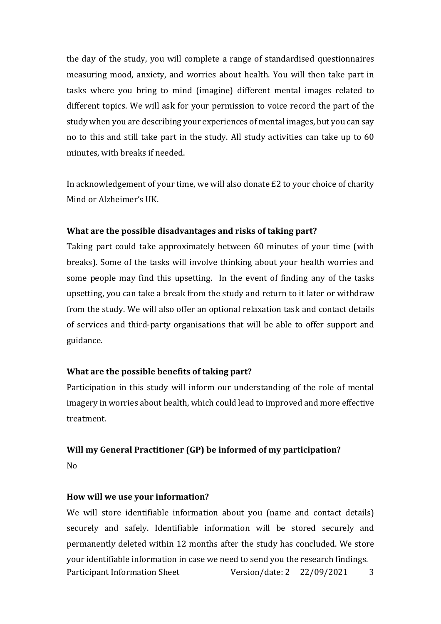the day of the study, you will complete a range of standardised questionnaires measuring mood, anxiety, and worries about health. You will then take part in tasks where you bring to mind (imagine) different mental images related to different topics. We will ask for your permission to voice record the part of the study when you are describing your experiences of mental images, but you can say no to this and still take part in the study. All study activities can take up to  $60$ minutes, with breaks if needed.

In acknowledgement of your time, we will also donate  $£2$  to your choice of charity Mind or Alzheimer's UK.

### **What are the possible disadvantages and risks of taking part?**

Taking part could take approximately between 60 minutes of your time (with breaks). Some of the tasks will involve thinking about your health worries and some people may find this upsetting. In the event of finding any of the tasks upsetting, you can take a break from the study and return to it later or withdraw from the study. We will also offer an optional relaxation task and contact details of services and third-party organisations that will be able to offer support and guidance. 

#### **What are the possible benefits of taking part?**

Participation in this study will inform our understanding of the role of mental imagery in worries about health, which could lead to improved and more effective treatment. 

#### **Will my General Practitioner (GP) be informed of my participation?**

No

#### How will we use your information?

Participant Information Sheet Version/date: 2 22/09/2021 3 We will store identifiable information about you (name and contact details) securely and safely. Identifiable information will be stored securely and permanently deleted within 12 months after the study has concluded. We store your identifiable information in case we need to send you the research findings.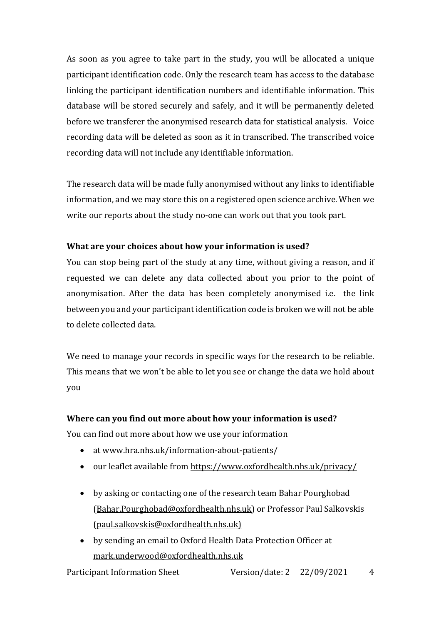As soon as you agree to take part in the study, you will be allocated a unique participant identification code. Only the research team has access to the database linking the participant identification numbers and identifiable information. This database will be stored securely and safely, and it will be permanently deleted before we transferer the anonymised research data for statistical analysis. Voice recording data will be deleted as soon as it in transcribed. The transcribed voice recording data will not include any identifiable information.

The research data will be made fully anonymised without any links to identifiable information, and we may store this on a registered open science archive. When we write our reports about the study no-one can work out that you took part.

# What are your choices about how your information is used?

You can stop being part of the study at any time, without giving a reason, and if requested we can delete any data collected about you prior to the point of anonymisation. After the data has been completely anonymised i.e. the link between you and your participant identification code is broken we will not be able to delete collected data.

We need to manage your records in specific ways for the research to be reliable. This means that we won't be able to let you see or change the data we hold about you

# Where can you find out more about how your information is used?

You can find out more about how we use your information

- at www.hra.nhs.uk/information-about-patients/
- our leaflet available from https://www.oxfordhealth.nhs.uk/privacy/
- by asking or contacting one of the research team Bahar Pourghobad (Bahar.Pourghobad@oxfordhealth.nhs.uk) or Professor Paul Salkovskis (paul.salkovskis@oxfordhealth.nhs.uk)
- by sending an email to Oxford Health Data Protection Officer at mark.underwood@oxfordhealth.nhs.uk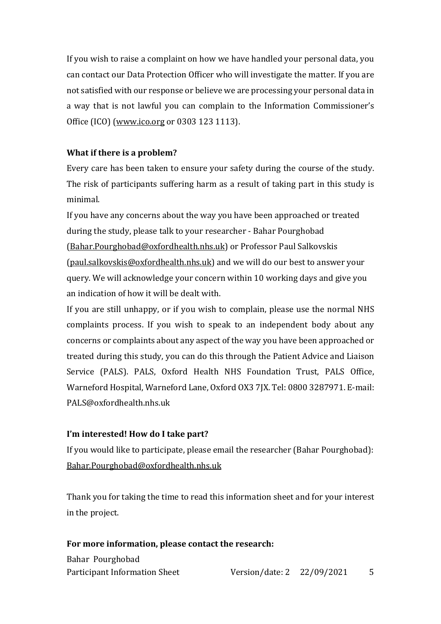If you wish to raise a complaint on how we have handled your personal data, you can contact our Data Protection Officer who will investigate the matter. If you are not satisfied with our response or believe we are processing your personal data in a way that is not lawful you can complain to the Information Commissioner's Office (ICO) (www.ico.org or 0303 123 1113).

# **What if there is a problem?**

Every care has been taken to ensure your safety during the course of the study. The risk of participants suffering harm as a result of taking part in this study is minimal.

If you have any concerns about the way you have been approached or treated during the study, please talk to your researcher - Bahar Pourghobad (Bahar.Pourghobad@oxfordhealth.nhs.uk) or Professor Paul Salkovskis (paul.salkovskis@oxfordhealth.nhs.uk) and we will do our best to answer your query. We will acknowledge your concern within 10 working days and give you an indication of how it will be dealt with.

If you are still unhappy, or if you wish to complain, please use the normal NHS complaints process. If you wish to speak to an independent body about any concerns or complaints about any aspect of the way you have been approached or treated during this study, you can do this through the Patient Advice and Liaison Service (PALS). PALS, Oxford Health NHS Foundation Trust, PALS Office. Warneford Hospital, Warneford Lane, Oxford OX3 7IX, Tel: 0800 3287971. E-mail: PALS@oxfordhealth.nhs.uk

# **I'm interested! How do I take part?**

If you would like to participate, please email the researcher (Bahar Pourghobad): Bahar.Pourghobad@oxfordhealth.nhs.uk

Thank you for taking the time to read this information sheet and for your interest in the project.

# For more information, please contact the research:

Bahar Pourghobad